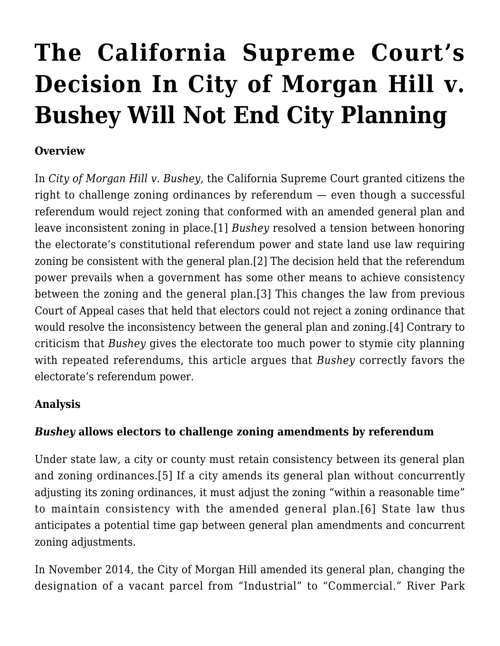# **[The California Supreme Court's](http://scocablog.com/the-california-supreme-courts-decision-in-city-of-morgan-hill-v-bushey-will-not-end-city-planning/) [Decision In City of Morgan Hill v.](http://scocablog.com/the-california-supreme-courts-decision-in-city-of-morgan-hill-v-bushey-will-not-end-city-planning/) [Bushey Will Not End City Planning](http://scocablog.com/the-california-supreme-courts-decision-in-city-of-morgan-hill-v-bushey-will-not-end-city-planning/)**

#### **Overview**

In *City of Morgan Hill v. Bushey,* the California Supreme Court granted citizens the right to challenge zoning ordinances by referendum — even though a successful referendum would reject zoning that conformed with an amended general plan and leave inconsistent zoning in place.[\[1\]](#page--1-0) *Bushey* resolved a tension between honoring the electorate's constitutional referendum power and state land use law requiring zoning be consistent with the general plan[.\[2\]](#page--1-0) The decision held that the referendum power prevails when a government has some other means to achieve consistency between the zoning and the general plan[.\[3\]](#page--1-0) This changes the law from previous Court of Appeal cases that held that electors could not reject a zoning ordinance that would resolve the inconsistency between the general plan and zoning[.\[4\]](#page--1-0) Contrary to criticism that *Bushey* gives the electorate too much power to stymie city planning with repeated referendums, this article argues that *Bushey* correctly favors the electorate's referendum power.

### **Analysis**

### *Bushey* **allows electors to challenge zoning amendments by referendum**

Under state law, a city or county must retain consistency between its general plan and zoning ordinances[.\[5\]](#page--1-0) If a city amends its general plan without concurrently adjusting its zoning ordinances, it must adjust the zoning "within a reasonable time" to maintain consistency with the amended general plan.[\[6\]](#page--1-0) State law thus anticipates a potential time gap between general plan amendments and concurrent zoning adjustments.

In November 2014, the City of Morgan Hill amended its general plan, changing the designation of a vacant parcel from "Industrial" to "Commercial." River Park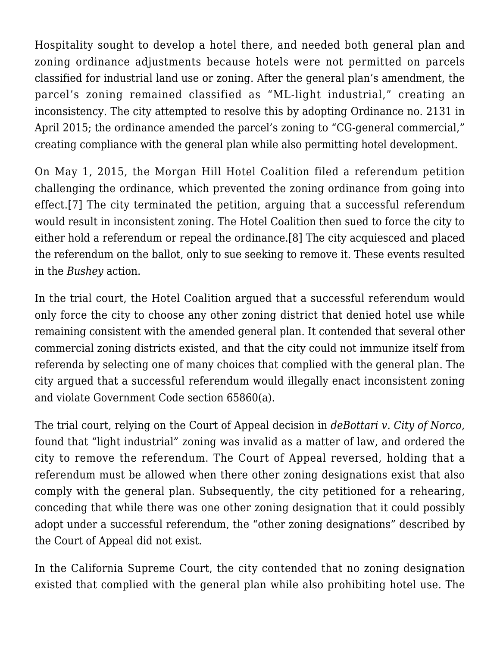Hospitality sought to develop a hotel there, and needed both general plan and zoning ordinance adjustments because hotels were not permitted on parcels classified for industrial land use or zoning. After the general plan's amendment, the parcel's zoning remained classified as "ML-light industrial," creating an inconsistency. The city attempted to resolve this by adopting Ordinance no. 2131 in April 2015; the ordinance amended the parcel's zoning to "CG-general commercial," creating compliance with the general plan while also permitting hotel development.

On May 1, 2015, the Morgan Hill Hotel Coalition filed a referendum petition challenging the ordinance, which prevented the zoning ordinance from going into effect[.\[7\]](#page--1-0) The city terminated the petition, arguing that a successful referendum would result in inconsistent zoning. The Hotel Coalition then sued to force the city to either hold a referendum or repeal the ordinance[.\[8\]](#page--1-0) The city acquiesced and placed the referendum on the ballot, only to sue seeking to remove it. These events resulted in the *Bushey* action.

In the trial court, the Hotel Coalition argued that a successful referendum would only force the city to choose any other zoning district that denied hotel use while remaining consistent with the amended general plan. It contended that several other commercial zoning districts existed, and that the city could not immunize itself from referenda by selecting one of many choices that complied with the general plan. The city argued that a successful referendum would illegally enact inconsistent zoning and violate Government Code section 65860(a).

The trial court, relying on the Court of Appeal decision in *deBottari v. City of Norco*, found that "light industrial" zoning was invalid as a matter of law, and ordered the city to remove the referendum. The Court of Appeal reversed, holding that a referendum must be allowed when there other zoning designations exist that also comply with the general plan. Subsequently, the city petitioned for a rehearing, conceding that while there was one other zoning designation that it could possibly adopt under a successful referendum, the "other zoning designations" described by the Court of Appeal did not exist.

In the California Supreme Court, the city contended that no zoning designation existed that complied with the general plan while also prohibiting hotel use. The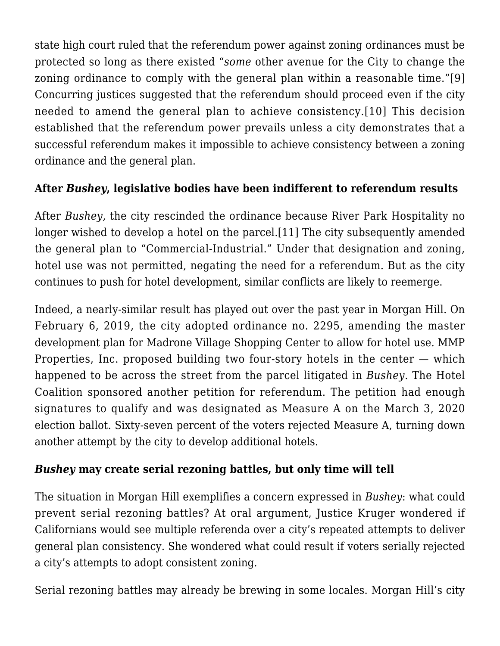state high court ruled that the referendum power against zoning ordinances must be protected so long as there existed "*some* other avenue for the City to change the zoning ordinance to comply with the general plan within a reasonable time."[\[9\]](#page--1-0) Concurring justices suggested that the referendum should proceed even if the city needed to amend the general plan to achieve consistency.[\[10\]](#page--1-0) This decision established that the referendum power prevails unless a city demonstrates that a successful referendum makes it impossible to achieve consistency between a zoning ordinance and the general plan.

### **After** *Bushey***, legislative bodies have been indifferent to referendum results**

After *Bushey,* the city rescinded the ordinance because River Park Hospitality no longer wished to develop a hotel on the parcel.[\[11\]](#page--1-0) The city subsequently amended the general plan to "Commercial-Industrial." Under that designation and zoning, hotel use was not permitted, negating the need for a referendum. But as the city continues to push for hotel development, similar conflicts are likely to reemerge.

Indeed, a nearly-similar result has played out over the past year in Morgan Hill. On February 6, 2019, the city adopted ordinance no. 2295, amending the master development plan for Madrone Village Shopping Center to allow for hotel use. MMP Properties, Inc. proposed building two four-story hotels in the center  $-$  which happened to be across the street from the parcel litigated in *Bushey*. The Hotel Coalition sponsored another petition for referendum. The petition had enough signatures to qualify and was designated as Measure A on the March 3, 2020 election ballot. Sixty-seven percent of the voters rejected Measure A, turning down another attempt by the city to develop additional hotels.

### *Bushey* **may create serial rezoning battles, but only time will tell**

The situation in Morgan Hill exemplifies a concern expressed in *Bushey*: what could prevent serial rezoning battles? At oral argument, Justice Kruger wondered if Californians would see multiple referenda over a city's repeated attempts to deliver general plan consistency. She wondered what could result if voters serially rejected a city's attempts to adopt consistent zoning.

Serial rezoning battles may already be brewing in some locales. Morgan Hill's city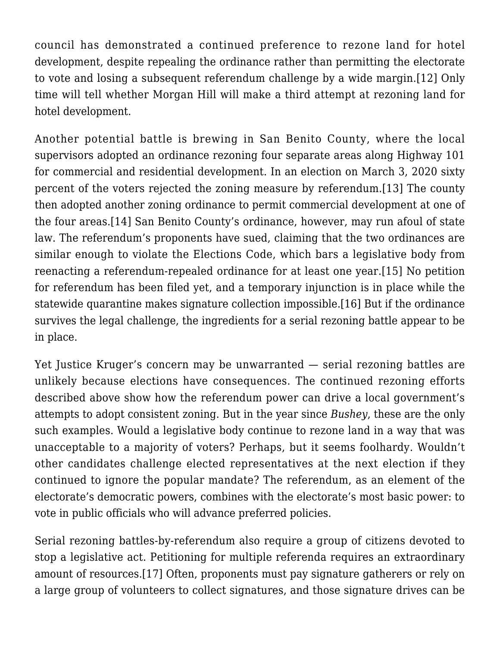council has demonstrated a continued preference to rezone land for hotel development, despite repealing the ordinance rather than permitting the electorate to vote and losing a subsequent referendum challenge by a wide margin.[\[12\]](#page--1-0) Only time will tell whether Morgan Hill will make a third attempt at rezoning land for hotel development.

Another potential battle is brewing in San Benito County, where the local supervisors adopted an ordinance rezoning four separate areas along Highway 101 for commercial and residential development. In an election on March 3, 2020 sixty percent of the voters rejected the zoning measure by referendum[.\[13\]](#page--1-0) The county then adopted another zoning ordinance to permit commercial development at one of the four areas.[\[14\]](#page--1-0) San Benito County's ordinance, however, may run afoul of state law. The referendum's proponents have sued, claiming that the two ordinances are similar enough to violate the Elections Code, which bars a legislative body from reenacting a referendum-repealed ordinance for at least one year.[\[15\]](#page--1-0) No petition for referendum has been filed yet, and a temporary injunction is in place while the statewide quarantine makes signature collection impossible[.\[16\]](#page--1-0) But if the ordinance survives the legal challenge, the ingredients for a serial rezoning battle appear to be in place.

Yet Justice Kruger's concern may be unwarranted — serial rezoning battles are unlikely because elections have consequences. The continued rezoning efforts described above show how the referendum power can drive a local government's attempts to adopt consistent zoning. But in the year since *Bushey*, these are the only such examples. Would a legislative body continue to rezone land in a way that was unacceptable to a majority of voters? Perhaps, but it seems foolhardy. Wouldn't other candidates challenge elected representatives at the next election if they continued to ignore the popular mandate? The referendum, as an element of the electorate's democratic powers, combines with the electorate's most basic power: to vote in public officials who will advance preferred policies.

Serial rezoning battles-by-referendum also require a group of citizens devoted to stop a legislative act. Petitioning for multiple referenda requires an extraordinary amount of resources[.\[17\]](#page--1-0) Often, proponents must pay signature gatherers or rely on a large group of volunteers to collect signatures, and those signature drives can be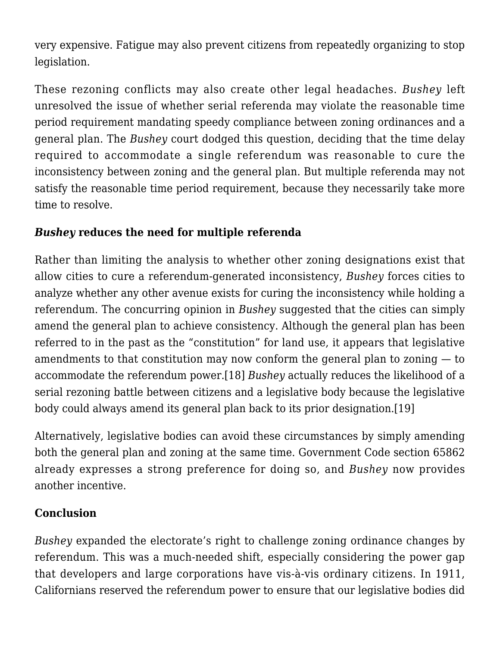very expensive. Fatigue may also prevent citizens from repeatedly organizing to stop legislation.

These rezoning conflicts may also create other legal headaches. *Bushey* left unresolved the issue of whether serial referenda may violate the reasonable time period requirement mandating speedy compliance between zoning ordinances and a general plan. The *Bushey* court dodged this question, deciding that the time delay required to accommodate a single referendum was reasonable to cure the inconsistency between zoning and the general plan. But multiple referenda may not satisfy the reasonable time period requirement, because they necessarily take more time to resolve.

## *Bushey* **reduces the need for multiple referenda**

Rather than limiting the analysis to whether other zoning designations exist that allow cities to cure a referendum-generated inconsistency, *Bushey* forces cities to analyze whether any other avenue exists for curing the inconsistency while holding a referendum. The concurring opinion in *Bushey* suggested that the cities can simply amend the general plan to achieve consistency. Although the general plan has been referred to in the past as the "constitution" for land use, it appears that legislative amendments to that constitution may now conform the general plan to zoning — to accommodate the referendum power[.\[18\]](#page--1-0) *Bushey* actually reduces the likelihood of a serial rezoning battle between citizens and a legislative body because the legislative body could always amend its general plan back to its prior designation.[\[19\]](#page--1-0)

Alternatively, legislative bodies can avoid these circumstances by simply amending both the general plan and zoning at the same time. Government Code section 65862 already expresses a strong preference for doing so, and *Bushey* now provides another incentive.

### **Conclusion**

*Bushey* expanded the electorate's right to challenge zoning ordinance changes by referendum. This was a much-needed shift, especially considering the power gap that developers and large corporations have vis-à-vis ordinary citizens. In 1911, Californians reserved the referendum power to ensure that our legislative bodies did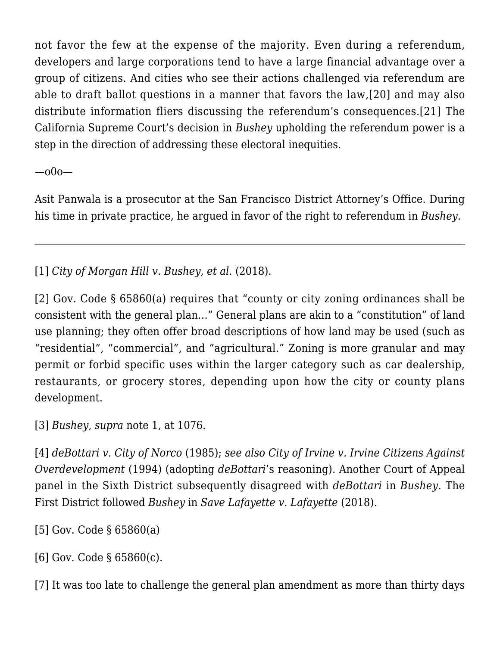not favor the few at the expense of the majority. Even during a referendum, developers and large corporations tend to have a large financial advantage over a group of citizens. And cities who see their actions challenged via referendum are able to draft ballot questions in a manner that favors the law,[\[20\]](#page--1-0) and may also distribute information fliers discussing the referendum's consequences.[\[21\]](#page--1-0) The California Supreme Court's decision in *Bushey* upholding the referendum power is a step in the direction of addressing these electoral inequities.

—o0o—

Asit Panwala is a prosecutor at the San Francisco District Attorney's Office. During his time in private practice, he argued in favor of the right to referendum in *Bushey*.

[\[1\]](#page--1-0) *[City of Morgan Hill v. Bushey, et al](https://scholar.google.com/scholar_case?case=10743130120874673696&q=5+Cal.+5th+1068&hl=en&as_sdt=2006)*[. \(2018\).](https://scholar.google.com/scholar_case?case=10743130120874673696&q=5+Cal.+5th+1068&hl=en&as_sdt=2006)

[\[2\]](#page--1-0) Gov. Code § 65860(a) requires that "county or city zoning ordinances shall be consistent with the general plan…" General plans are akin to a "constitution" of land use planning; they often offer broad descriptions of how land may be used (such as "residential", "commercial", and "agricultural." Zoning is more granular and may permit or forbid specific uses within the larger category such as car dealership, restaurants, or grocery stores, depending upon how the city or county plans development.

[\[3\]](#page--1-0) *[Bushey](https://scholar.google.com/scholar_case?case=10743130120874673696&q=5+Cal.+5th+1068&hl=en&as_sdt=2006)*, *supra* note 1, at 1076.

[\[4\]](#page--1-0) *[deBottari v. City of Norco](https://scholar.google.com/scholar_case?case=1938335875424919862&q=171+Cal.App.3d+1204&hl=en&as_sdt=2006)* [\(1985\);](https://scholar.google.com/scholar_case?case=1938335875424919862&q=171+Cal.App.3d+1204&hl=en&as_sdt=2006) *see also [City of Irvine v. Irvine Citizens Against](https://scholar.google.com/scholar_case?case=15230179084822408171&q=25+Cal.App.4th+868&hl=en&as_sdt=2006) [Overdevelopment](https://scholar.google.com/scholar_case?case=15230179084822408171&q=25+Cal.App.4th+868&hl=en&as_sdt=2006)* [\(1994\)](https://scholar.google.com/scholar_case?case=15230179084822408171&q=25+Cal.App.4th+868&hl=en&as_sdt=2006) (adopting *deBottari*'s reasoning). Another Court of Appeal panel in the Sixth District subsequently disagreed with *deBottari* in *Bushey.* The First District followed *Bushey* in *[Save Lafayette v. Lafayette](https://scholar.google.com/scholar_case?case=12896175528107142373&q=20+Cal.App.5th+657&hl=en&as_sdt=2006)* [\(2018\)](https://scholar.google.com/scholar_case?case=12896175528107142373&q=20+Cal.App.5th+657&hl=en&as_sdt=2006).

[\[5\]](#page--1-0) Gov. Code § 65860(a)

[\[6\]](#page--1-0) Gov. Code § 65860(c).

[\[7\]](#page--1-0) It was too late to challenge the general plan amendment as more than thirty days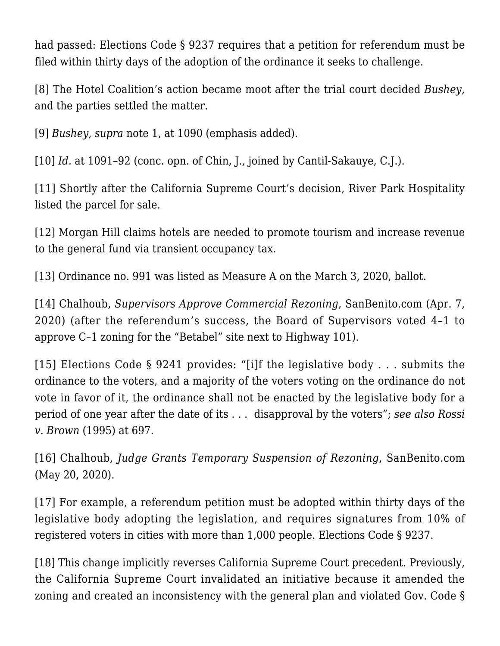had passed: Elections Code § 9237 requires that a petition for referendum must be filed within thirty days of the adoption of the ordinance it seeks to challenge.

[\[8\]](#page--1-0) The Hotel Coalition's action became moot after the trial court decided *Bushey*, and the parties settled the matter.

[\[9\]](#page--1-0) *[Bushey](https://scholar.google.com/scholar_case?case=10743130120874673696&q=5+Cal.+5th+1068&hl=en&as_sdt=2006)*, *supra* note 1, at 1090 (emphasis added).

[\[10\]](#page--1-0) *Id.* at 1091-92 (conc. opn. of Chin, J., joined by Cantil-Sakauye, C.J.).

[\[11\]](#page--1-0) Shortly after the California Supreme Court's decision, River Park Hospitality listed the parcel for sale.

[\[12\]](#page--1-0) Morgan Hill claims hotels are needed to promote tourism and increase revenue to the general fund via transient occupancy tax.

[\[13\]](#page--1-0) Ordinance no. 991 was listed as [Measure A](http://morganhill.ca.gov/2027/2020-present) on the March 3, 2020, ballot.

[\[14\]](#page--1-0) Chalhoub, *[Supervisors Approve Commercial Rezoning](https://sanbenito.com/supervisors-approve-commercial-rezoning)*, SanBenito.com (Apr. 7, 2020) (after the referendum's success, the Board of Supervisors voted 4–1 to approve C–1 zoning for the "Betabel" site next to Highway 101).

[\[15\]](#page--1-0) Elections Code § 9241 provides: "[i]f the legislative body . . . submits the ordinance to the voters, and a majority of the voters voting on the ordinance do not vote in favor of it, the ordinance shall not be enacted by the legislative body for a period of one year after the date of its . . . disapproval by the voters"; *see also [Rossi](https://scholar.google.com/scholar_case?case=4863587891361258947&q=rossi+v.+brown&hl=en&as_sdt=2006) [v. Brown](https://scholar.google.com/scholar_case?case=4863587891361258947&q=rossi+v.+brown&hl=en&as_sdt=2006)* [\(1995\)](https://scholar.google.com/scholar_case?case=4863587891361258947&q=rossi+v.+brown&hl=en&as_sdt=2006) at 697.

[\[16\]](#page--1-0) Chalhoub, *[Judge Grants Temporary Suspension of Rezoning](https://sanbenito.com/judge-grants-temporary-suspension-of-rezoning/)*, SanBenito.com (May 20, 2020).

[\[17\]](#page--1-0) For example, a referendum petition must be adopted within thirty days of the legislative body adopting the legislation, and requires signatures from 10% of registered voters in cities with more than 1,000 people. Elections Code § 9237.

[\[18\]](#page--1-0) This change implicitly reverses California Supreme Court precedent. Previously, the California Supreme Court invalidated an initiative because it amended the zoning and created an inconsistency with the general plan and violated Gov. Code §